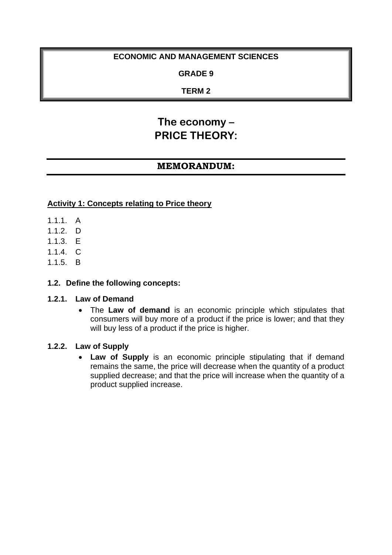# **ECONOMIC AND MANAGEMENT SCIENCES**

### **GRADE 9**

### **TERM 2**

# **The economy – PRICE THEORY:**

# **MEMORANDUM:**

#### **Activity 1: Concepts relating to Price theory**

- 1.1.1. A
- 1.1.2. D
- 1.1.3. E
- $114 \quad C.$
- 1.1.5. B

#### **1.2. Define the following concepts:**

#### **1.2.1. Law of Demand**

• The **Law of demand** is an economic principle which stipulates that consumers will buy more of a product if the price is lower; and that they will buy less of a product if the price is higher.

#### **1.2.2. Law of Supply**

• **Law of Supply** is an economic principle stipulating that if demand remains the same, the price will decrease when the quantity of a product supplied decrease; and that the price will increase when the quantity of a product supplied increase.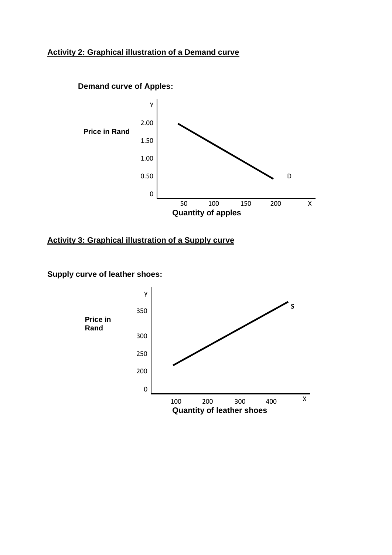### **Activity 2: Graphical illustration of a Demand curve**



### **Activity 3: Graphical illustration of a Supply curve**

## **Supply curve of leather shoes:**

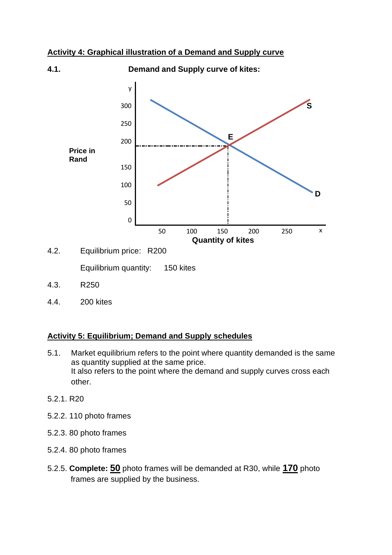#### **Activity 4: Graphical illustration of a Demand and Supply curve**



4.2. Equilibrium price: R200

Equilibrium quantity: 150 kites

- 4.3. R250
- 4.4. 200 kites

#### **Activity 5: Equilibrium; Demand and Supply schedules**

- 5.1. Market equilibrium refers to the point where quantity demanded is the same as quantity supplied at the same price. It also refers to the point where the demand and supply curves cross each other.
- 5.2.1. R20
- 5.2.2. 110 photo frames
- 5.2.3. 80 photo frames
- 5.2.4. 80 photo frames
- 5.2.5. **Complete: 50** photo frames will be demanded at R30, while **170** photo frames are supplied by the business.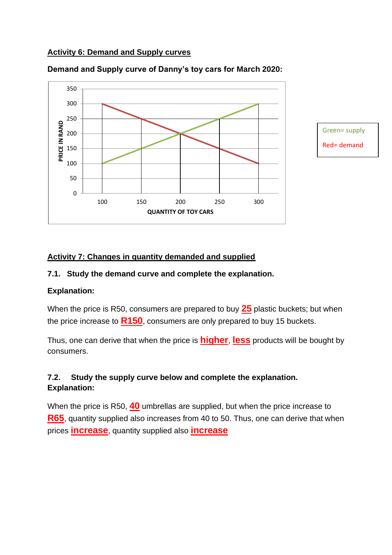### **Activity 6: Demand and Supply curves**



**Demand and Supply curve of Danny's toy cars for March 2020:**

Green= supply Red= demand

### **Activity 7: Changes in quantity demanded and supplied**

### **7.1. Study the demand curve and complete the explanation.**

### **Explanation:**

When the price is R50, consumers are prepared to buy **25** plastic buckets; but when the price increase to **R150**, consumers are only prepared to buy 15 buckets.

Thus, one can derive that when the price is **higher**, **less** products will be bought by consumers.

# **7.2. Study the supply curve below and complete the explanation. Explanation:**

When the price is R50, **40** umbrellas are supplied, but when the price increase to **R65**, quantity supplied also increases from 40 to 50. Thus, one can derive that when prices **increase**, quantity supplied also **increase**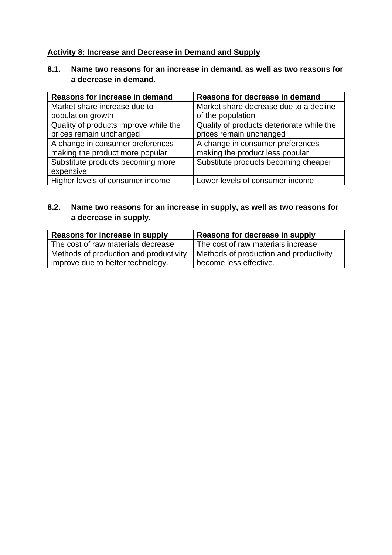### **Activity 8: Increase and Decrease in Demand and Supply**

# **8.1. Name two reasons for an increase in demand, as well as two reasons for a decrease in demand.**

| Reasons for increase in demand        | Reasons for decrease in demand            |
|---------------------------------------|-------------------------------------------|
| Market share increase due to          | Market share decrease due to a decline    |
| population growth                     | of the population                         |
| Quality of products improve while the | Quality of products deteriorate while the |
| prices remain unchanged               | prices remain unchanged                   |
| A change in consumer preferences      | A change in consumer preferences          |
| making the product more popular       | making the product less popular           |
| Substitute products becoming more     | Substitute products becoming cheaper      |
| expensive                             |                                           |
| Higher levels of consumer income      | Lower levels of consumer income           |

# **8.2. Name two reasons for an increase in supply, as well as two reasons for a decrease in supply.**

| Reasons for increase in supply         | Reasons for decrease in supply         |
|----------------------------------------|----------------------------------------|
| The cost of raw materials decrease     | The cost of raw materials increase     |
| Methods of production and productivity | Methods of production and productivity |
| improve due to better technology.      | become less effective.                 |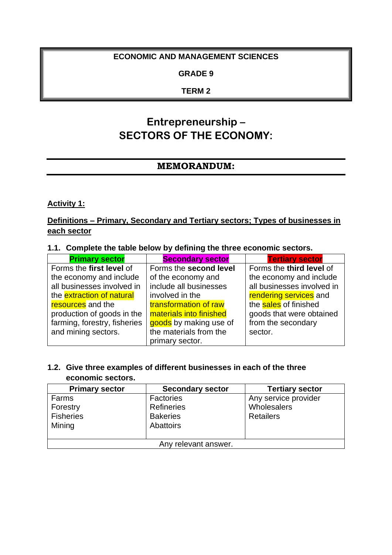### **ECONOMIC AND MANAGEMENT SCIENCES**

#### **GRADE 9**

### **TERM 2**

# **Entrepreneurship – SECTORS OF THE ECONOMY:**

# **MEMORANDUM:**

**Activity 1:** 

**Definitions – Primary, Secondary and Tertiary sectors; Types of businesses in each sector**

|  | 1.1. Complete the table below by defining the three economic sectors. |
|--|-----------------------------------------------------------------------|
|  |                                                                       |

| <b>Primary sector</b>            | <b>Secondary sector</b> | <b>Tertiary sector</b>     |
|----------------------------------|-------------------------|----------------------------|
| Forms the first level of         | Forms the second level  | Forms the third level of   |
| the economy and include          | of the economy and      | the economy and include    |
| all businesses involved in       | include all businesses  | all businesses involved in |
| the <b>extraction of natural</b> | involved in the         | rendering services and     |
| resources and the                | transformation of raw   | the sales of finished      |
| production of goods in the       | materials into finished | goods that were obtained   |
| farming, forestry, fisheries     | goods by making use of  | from the secondary         |
| and mining sectors.              | the materials from the  | sector.                    |
|                                  | primary sector.         |                            |

### **1.2. Give three examples of different businesses in each of the three economic sectors.**

| <b>Primary sector</b> | <b>Secondary sector</b> | <b>Tertiary sector</b> |
|-----------------------|-------------------------|------------------------|
| Farms                 | <b>Factories</b>        | Any service provider   |
| Forestry              | <b>Refineries</b>       | Wholesalers            |
| <b>Fisheries</b>      | <b>Bakeries</b>         | <b>Retailers</b>       |
| Mining                | Abattoirs               |                        |
|                       |                         |                        |
| Any relevant answer.  |                         |                        |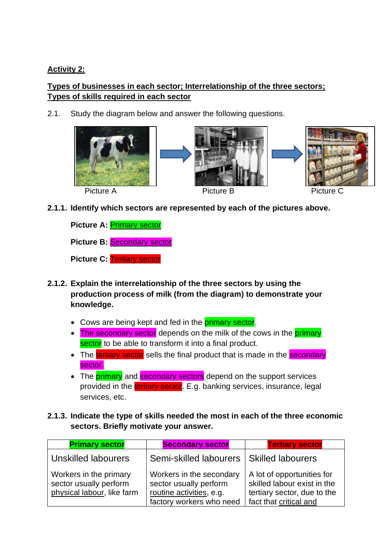# **Activity 2:**

# **Types of businesses in each sector; Interrelationship of the three sectors; Types of skills required in each sector**

2.1. Study the diagram below and answer the following questions.



**2.1.1. Identify which sectors are represented by each of the pictures above.** 

**Picture A: Primary sector** 

**Picture B:** Secondary sector

**Picture C:** Tertiary sector

- **2.1.2. Explain the interrelationship of the three sectors by using the production process of milk (from the diagram) to demonstrate your knowledge.** 
	- Cows are being kept and fed in the **primary sector**.
	- The secondary sector depends on the milk of the cows in the primary sector to be able to transform it into a final product.
	- The tertiary sector sells the final product that is made in the secondary sector.
	- The **primary** and **secondary sectors** depend on the support services provided in the tertiary sector. E.g. banking services, insurance, legal services, etc.
- **2.1.3. Indicate the type of skills needed the most in each of the three economic sectors. Briefly motivate your answer.**

| <b>Primary sector</b>                                                          | <b>Secondary sector</b>                                                                                    | <b>Tertiary sector</b>                                                                                             |
|--------------------------------------------------------------------------------|------------------------------------------------------------------------------------------------------------|--------------------------------------------------------------------------------------------------------------------|
| <b>Unskilled labourers</b>                                                     | Semi-skilled labourers                                                                                     | <b>Skilled labourers</b>                                                                                           |
| Workers in the primary<br>sector usually perform<br>physical labour, like farm | Workers in the secondary<br>sector usually perform<br>routine activities, e.g.<br>factory workers who need | A lot of opportunities for<br>skilled labour exist in the<br>tertiary sector, due to the<br>fact that critical and |